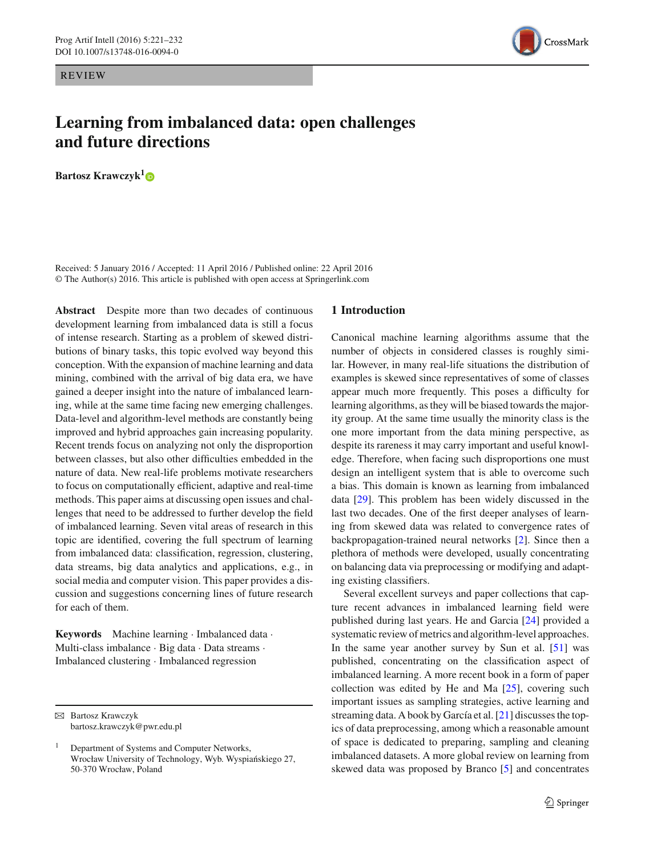REVIEW

# **Learning from imbalanced data: open challenges and future directions**

**Bartosz Krawczyk[1](http://orcid.org/0000-0002-9774-0106)**

Received: 5 January 2016 / Accepted: 11 April 2016 / Published online: 22 April 2016 © The Author(s) 2016. This article is published with open access at Springerlink.com

**Abstract** Despite more than two decades of continuous development learning from imbalanced data is still a focus of intense research. Starting as a problem of skewed distributions of binary tasks, this topic evolved way beyond this conception. With the expansion of machine learning and data mining, combined with the arrival of big data era, we have gained a deeper insight into the nature of imbalanced learning, while at the same time facing new emerging challenges. Data-level and algorithm-level methods are constantly being improved and hybrid approaches gain increasing popularity. Recent trends focus on analyzing not only the disproportion between classes, but also other difficulties embedded in the nature of data. New real-life problems motivate researchers to focus on computationally efficient, adaptive and real-time methods. This paper aims at discussing open issues and challenges that need to be addressed to further develop the field of imbalanced learning. Seven vital areas of research in this topic are identified, covering the full spectrum of learning from imbalanced data: classification, regression, clustering, data streams, big data analytics and applications, e.g., in social media and computer vision. This paper provides a discussion and suggestions concerning lines of future research for each of them.

**Keywords** Machine learning · Imbalanced data · Multi-class imbalance · Big data · Data streams · Imbalanced clustering · Imbalanced regression

# **1 Introduction**

Canonical machine learning algorithms assume that the number of objects in considered classes is roughly similar. However, in many real-life situations the distribution of examples is skewed since representatives of some of classes appear much more frequently. This poses a difficulty for learning algorithms, as they will be biased towards the majority group. At the same time usually the minority class is the one more important from the data mining perspective, as despite its rareness it may carry important and useful knowledge. Therefore, when facing such disproportions one must design an intelligent system that is able to overcome such a bias. This domain is known as learning from imbalanced data [\[29\]](#page-10-0). This problem has been widely discussed in the last two decades. One of the first deeper analyses of learning from skewed data was related to convergence rates of backpropagation-trained neural networks [\[2\]](#page-9-0). Since then a plethora of methods were developed, usually concentrating on balancing data via preprocessing or modifying and adapting existing classifiers.

Several excellent surveys and paper collections that capture recent advances in imbalanced learning field were published during last years. He and Garcia [\[24](#page-10-1)] provided a systematic review of metrics and algorithm-level approaches. In the same year another survey by Sun et al. [\[51](#page-11-0)] was published, concentrating on the classification aspect of imbalanced learning. A more recent book in a form of paper collection was edited by He and Ma [\[25](#page-10-2)], covering such important issues as sampling strategies, active learning and streaming data. A book by García et al. [\[21\]](#page-10-3) discusses the topics of data preprocessing, among which a reasonable amount of space is dedicated to preparing, sampling and cleaning imbalanced datasets. A more global review on learning from skewed data was proposed by Branco [\[5](#page-9-1)] and concentrates



 $\boxtimes$  Bartosz Krawczyk bartosz.krawczyk@pwr.edu.pl

<sup>1</sup> Department of Systems and Computer Networks, Wrocław University of Technology, Wyb. Wyspiańskiego 27, 50-370 Wrocław, Poland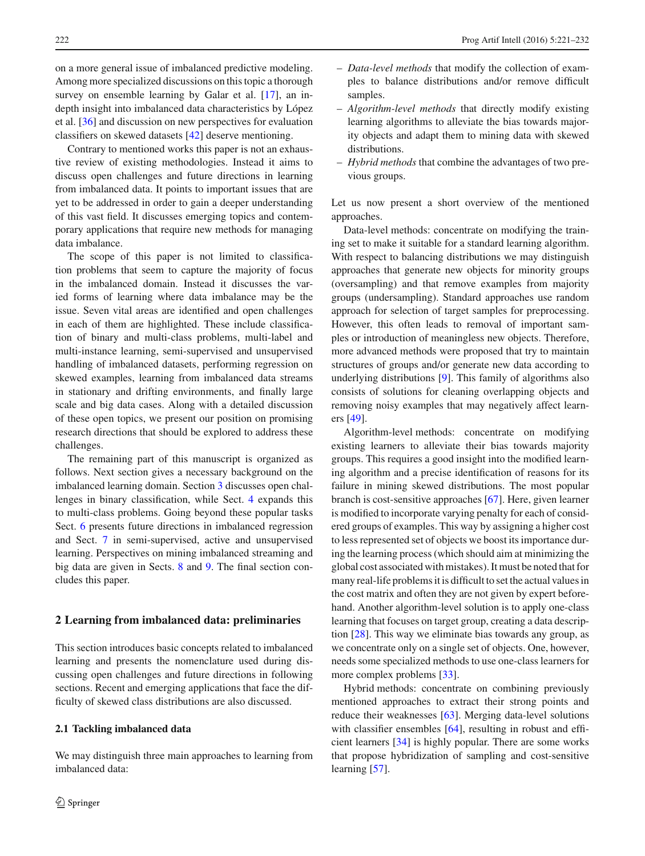on a more general issue of imbalanced predictive modeling. Among more specialized discussions on this topic a thorough survey on ensemble learning by Galar et al. [\[17](#page-10-4)], an indepth insight into imbalanced data characteristics by López et al. [\[36\]](#page-10-5) and discussion on new perspectives for evaluation classifiers on skewed datasets [\[42\]](#page-10-6) deserve mentioning.

Contrary to mentioned works this paper is not an exhaustive review of existing methodologies. Instead it aims to discuss open challenges and future directions in learning from imbalanced data. It points to important issues that are yet to be addressed in order to gain a deeper understanding of this vast field. It discusses emerging topics and contemporary applications that require new methods for managing data imbalance.

The scope of this paper is not limited to classification problems that seem to capture the majority of focus in the imbalanced domain. Instead it discusses the varied forms of learning where data imbalance may be the issue. Seven vital areas are identified and open challenges in each of them are highlighted. These include classification of binary and multi-class problems, multi-label and multi-instance learning, semi-supervised and unsupervised handling of imbalanced datasets, performing regression on skewed examples, learning from imbalanced data streams in stationary and drifting environments, and finally large scale and big data cases. Along with a detailed discussion of these open topics, we present our position on promising research directions that should be explored to address these challenges.

The remaining part of this manuscript is organized as follows. Next section gives a necessary background on the imbalanced learning domain. Section [3](#page-2-0) discusses open challenges in binary classification, while Sect. [4](#page-4-0) expands this to multi-class problems. Going beyond these popular tasks Sect. [6](#page-6-0) presents future directions in imbalanced regression and Sect. [7](#page-7-0) in semi-supervised, active and unsupervised learning. Perspectives on mining imbalanced streaming and big data are given in Sects. [8](#page-7-1) and [9.](#page-8-0) The final section concludes this paper.

## <span id="page-1-0"></span>**2 Learning from imbalanced data: preliminaries**

This section introduces basic concepts related to imbalanced learning and presents the nomenclature used during discussing open challenges and future directions in following sections. Recent and emerging applications that face the difficulty of skewed class distributions are also discussed.

#### **2.1 Tackling imbalanced data**

We may distinguish three main approaches to learning from imbalanced data:

- *Data-level methods* that modify the collection of examples to balance distributions and/or remove difficult samples.
- *Algorithm-level methods* that directly modify existing learning algorithms to alleviate the bias towards majority objects and adapt them to mining data with skewed distributions.
- *Hybrid methods* that combine the advantages of two previous groups.

Let us now present a short overview of the mentioned approaches.

Data-level methods: concentrate on modifying the training set to make it suitable for a standard learning algorithm. With respect to balancing distributions we may distinguish approaches that generate new objects for minority groups (oversampling) and that remove examples from majority groups (undersampling). Standard approaches use random approach for selection of target samples for preprocessing. However, this often leads to removal of important samples or introduction of meaningless new objects. Therefore, more advanced methods were proposed that try to maintain structures of groups and/or generate new data according to underlying distributions [\[9](#page-9-2)]. This family of algorithms also consists of solutions for cleaning overlapping objects and removing noisy examples that may negatively affect learners [\[49\]](#page-11-1).

Algorithm-level methods: concentrate on modifying existing learners to alleviate their bias towards majority groups. This requires a good insight into the modified learning algorithm and a precise identification of reasons for its failure in mining skewed distributions. The most popular branch is cost-sensitive approaches [\[67\]](#page-11-2). Here, given learner is modified to incorporate varying penalty for each of considered groups of examples. This way by assigning a higher cost to less represented set of objects we boost its importance during the learning process (which should aim at minimizing the global cost associated with mistakes). It must be noted that for many real-life problems it is difficult to set the actual values in the cost matrix and often they are not given by expert beforehand. Another algorithm-level solution is to apply one-class learning that focuses on target group, creating a data description [\[28](#page-10-7)]. This way we eliminate bias towards any group, as we concentrate only on a single set of objects. One, however, needs some specialized methods to use one-class learners for more complex problems [\[33\]](#page-10-8).

Hybrid methods: concentrate on combining previously mentioned approaches to extract their strong points and reduce their weaknesses [\[63](#page-11-3)]. Merging data-level solutions with classifier ensembles [\[64\]](#page-11-4), resulting in robust and efficient learners [\[34\]](#page-10-9) is highly popular. There are some works that propose hybridization of sampling and cost-sensitive learning [\[57\]](#page-11-5).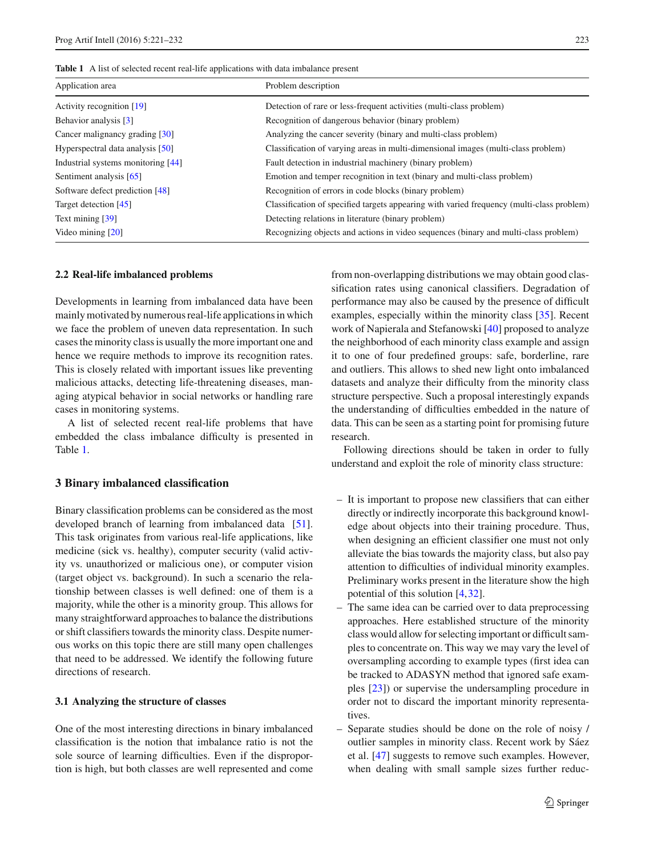<span id="page-2-1"></span>

| Application area                             | Problem description                                                                       |
|----------------------------------------------|-------------------------------------------------------------------------------------------|
| Activity recognition $[19]$                  | Detection of rare or less-frequent activities (multi-class problem)                       |
| Behavior analysis [3]                        | Recognition of dangerous behavior (binary problem)                                        |
| Cancer malignancy grading $\lceil 30 \rceil$ | Analyzing the cancer severity (binary and multi-class problem)                            |
| Hyperspectral data analysis [50]             | Classification of varying areas in multi-dimensional images (multi-class problem)         |
| Industrial systems monitoring [44]           | Fault detection in industrial machinery (binary problem)                                  |
| Sentiment analysis [65]                      | Emotion and temper recognition in text (binary and multi-class problem)                   |
| Software defect prediction [48]              | Recognition of errors in code blocks (binary problem)                                     |
| Target detection [45]                        | Classification of specified targets appearing with varied frequency (multi-class problem) |
| Text mining [39]                             | Detecting relations in literature (binary problem)                                        |
| Video mining $[20]$                          | Recognizing objects and actions in video sequences (binary and multi-class problem)       |

#### **2.2 Real-life imbalanced problems**

Developments in learning from imbalanced data have been mainly motivated by numerous real-life applications in which we face the problem of uneven data representation. In such cases the minority class is usually the more important one and hence we require methods to improve its recognition rates. This is closely related with important issues like preventing malicious attacks, detecting life-threatening diseases, managing atypical behavior in social networks or handling rare cases in monitoring systems.

A list of selected recent real-life problems that have embedded the class imbalance difficulty is presented in Table [1.](#page-2-1)

## <span id="page-2-0"></span>**3 Binary imbalanced classification**

Binary classification problems can be considered as the most developed branch of learning from imbalanced data [\[51](#page-11-0)]. This task originates from various real-life applications, like medicine (sick vs. healthy), computer security (valid activity vs. unauthorized or malicious one), or computer vision (target object vs. background). In such a scenario the relationship between classes is well defined: one of them is a majority, while the other is a minority group. This allows for many straightforward approaches to balance the distributions or shift classifiers towards the minority class. Despite numerous works on this topic there are still many open challenges that need to be addressed. We identify the following future directions of research.

## <span id="page-2-2"></span>**3.1 Analyzing the structure of classes**

One of the most interesting directions in binary imbalanced classification is the notion that imbalance ratio is not the sole source of learning difficulties. Even if the disproportion is high, but both classes are well represented and come from non-overlapping distributions we may obtain good classification rates using canonical classifiers. Degradation of performance may also be caused by the presence of difficult examples, especially within the minority class [\[35\]](#page-10-16). Recent work of Napierala and Stefanowski [\[40](#page-10-17)] proposed to analyze the neighborhood of each minority class example and assign it to one of four predefined groups: safe, borderline, rare and outliers. This allows to shed new light onto imbalanced datasets and analyze their difficulty from the minority class structure perspective. Such a proposal interestingly expands the understanding of difficulties embedded in the nature of data. This can be seen as a starting point for promising future research.

Following directions should be taken in order to fully understand and exploit the role of minority class structure:

- It is important to propose new classifiers that can either directly or indirectly incorporate this background knowledge about objects into their training procedure. Thus, when designing an efficient classifier one must not only alleviate the bias towards the majority class, but also pay attention to difficulties of individual minority examples. Preliminary works present in the literature show the high potential of this solution [\[4](#page-9-4)[,32](#page-10-18)].
- The same idea can be carried over to data preprocessing approaches. Here established structure of the minority class would allow for selecting important or difficult samples to concentrate on. This way we may vary the level of oversampling according to example types (first idea can be tracked to ADASYN method that ignored safe examples [\[23\]](#page-10-19)) or supervise the undersampling procedure in order not to discard the important minority representatives.
- Separate studies should be done on the role of noisy / outlier samples in minority class. Recent work by Sáez et al. [\[47\]](#page-10-20) suggests to remove such examples. However, when dealing with small sample sizes further reduc-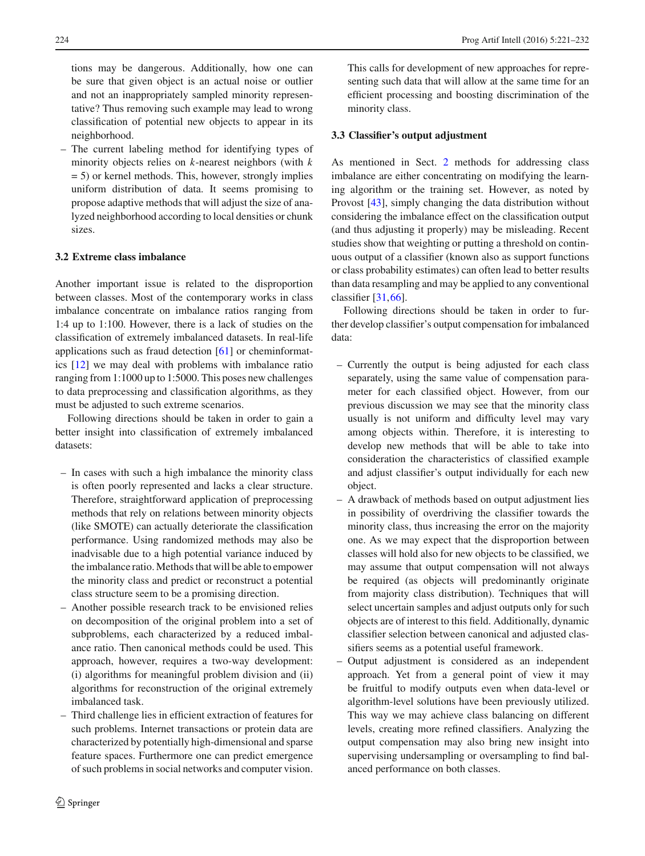tions may be dangerous. Additionally, how one can be sure that given object is an actual noise or outlier and not an inappropriately sampled minority representative? Thus removing such example may lead to wrong classification of potential new objects to appear in its neighborhood.

– The current labeling method for identifying types of minority objects relies on *k*-nearest neighbors (with *k* = 5) or kernel methods. This, however, strongly implies uniform distribution of data. It seems promising to propose adaptive methods that will adjust the size of analyzed neighborhood according to local densities or chunk sizes.

# <span id="page-3-0"></span>**3.2 Extreme class imbalance**

Another important issue is related to the disproportion between classes. Most of the contemporary works in class imbalance concentrate on imbalance ratios ranging from 1:4 up to 1:100. However, there is a lack of studies on the classification of extremely imbalanced datasets. In real-life applications such as fraud detection [\[61](#page-11-9)] or cheminformatics [\[12](#page-10-21)] we may deal with problems with imbalance ratio ranging from 1:1000 up to 1:5000. This poses new challenges to data preprocessing and classification algorithms, as they must be adjusted to such extreme scenarios.

Following directions should be taken in order to gain a better insight into classification of extremely imbalanced datasets:

- In cases with such a high imbalance the minority class is often poorly represented and lacks a clear structure. Therefore, straightforward application of preprocessing methods that rely on relations between minority objects (like SMOTE) can actually deteriorate the classification performance. Using randomized methods may also be inadvisable due to a high potential variance induced by the imbalance ratio. Methods that will be able to empower the minority class and predict or reconstruct a potential class structure seem to be a promising direction.
- Another possible research track to be envisioned relies on decomposition of the original problem into a set of subproblems, each characterized by a reduced imbalance ratio. Then canonical methods could be used. This approach, however, requires a two-way development: (i) algorithms for meaningful problem division and (ii) algorithms for reconstruction of the original extremely imbalanced task.
- Third challenge lies in efficient extraction of features for such problems. Internet transactions or protein data are characterized by potentially high-dimensional and sparse feature spaces. Furthermore one can predict emergence of such problems in social networks and computer vision.

This calls for development of new approaches for representing such data that will allow at the same time for an efficient processing and boosting discrimination of the minority class.

## **3.3 Classifier's output adjustment**

As mentioned in Sect. [2](#page-1-0) methods for addressing class imbalance are either concentrating on modifying the learning algorithm or the training set. However, as noted by Provost [\[43](#page-10-22)], simply changing the data distribution without considering the imbalance effect on the classification output (and thus adjusting it properly) may be misleading. Recent studies show that weighting or putting a threshold on continuous output of a classifier (known also as support functions or class probability estimates) can often lead to better results than data resampling and may be applied to any conventional classifier [\[31](#page-10-23),[66\]](#page-11-10).

Following directions should be taken in order to further develop classifier's output compensation for imbalanced data:

- Currently the output is being adjusted for each class separately, using the same value of compensation parameter for each classified object. However, from our previous discussion we may see that the minority class usually is not uniform and difficulty level may vary among objects within. Therefore, it is interesting to develop new methods that will be able to take into consideration the characteristics of classified example and adjust classifier's output individually for each new object.
- A drawback of methods based on output adjustment lies in possibility of overdriving the classifier towards the minority class, thus increasing the error on the majority one. As we may expect that the disproportion between classes will hold also for new objects to be classified, we may assume that output compensation will not always be required (as objects will predominantly originate from majority class distribution). Techniques that will select uncertain samples and adjust outputs only for such objects are of interest to this field. Additionally, dynamic classifier selection between canonical and adjusted classifiers seems as a potential useful framework.
- Output adjustment is considered as an independent approach. Yet from a general point of view it may be fruitful to modify outputs even when data-level or algorithm-level solutions have been previously utilized. This way we may achieve class balancing on different levels, creating more refined classifiers. Analyzing the output compensation may also bring new insight into supervising undersampling or oversampling to find balanced performance on both classes.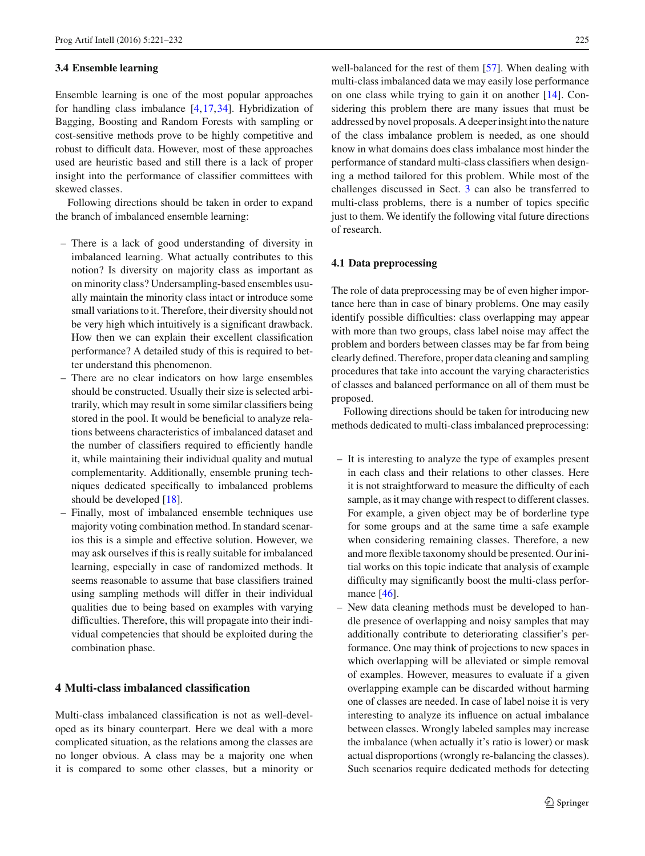#### **3.4 Ensemble learning**

Ensemble learning is one of the most popular approaches for handling class imbalance [\[4](#page-9-4)[,17](#page-10-4),[34\]](#page-10-9). Hybridization of Bagging, Boosting and Random Forests with sampling or cost-sensitive methods prove to be highly competitive and robust to difficult data. However, most of these approaches used are heuristic based and still there is a lack of proper insight into the performance of classifier committees with skewed classes.

Following directions should be taken in order to expand the branch of imbalanced ensemble learning:

- There is a lack of good understanding of diversity in imbalanced learning. What actually contributes to this notion? Is diversity on majority class as important as on minority class? Undersampling-based ensembles usually maintain the minority class intact or introduce some small variations to it. Therefore, their diversity should not be very high which intuitively is a significant drawback. How then we can explain their excellent classification performance? A detailed study of this is required to better understand this phenomenon.
- There are no clear indicators on how large ensembles should be constructed. Usually their size is selected arbitrarily, which may result in some similar classifiers being stored in the pool. It would be beneficial to analyze relations betweens characteristics of imbalanced dataset and the number of classifiers required to efficiently handle it, while maintaining their individual quality and mutual complementarity. Additionally, ensemble pruning techniques dedicated specifically to imbalanced problems should be developed [\[18](#page-10-24)].
- Finally, most of imbalanced ensemble techniques use majority voting combination method. In standard scenarios this is a simple and effective solution. However, we may ask ourselves if this is really suitable for imbalanced learning, especially in case of randomized methods. It seems reasonable to assume that base classifiers trained using sampling methods will differ in their individual qualities due to being based on examples with varying difficulties. Therefore, this will propagate into their individual competencies that should be exploited during the combination phase.

# <span id="page-4-0"></span>**4 Multi-class imbalanced classification**

Multi-class imbalanced classification is not as well-developed as its binary counterpart. Here we deal with a more complicated situation, as the relations among the classes are no longer obvious. A class may be a majority one when it is compared to some other classes, but a minority or

well-balanced for the rest of them [\[57\]](#page-11-5). When dealing with multi-class imbalanced data we may easily lose performance on one class while trying to gain it on another [\[14\]](#page-10-25). Considering this problem there are many issues that must be addressed by novel proposals. A deeper insight into the nature of the class imbalance problem is needed, as one should know in what domains does class imbalance most hinder the performance of standard multi-class classifiers when designing a method tailored for this problem. While most of the challenges discussed in Sect. [3](#page-2-0) can also be transferred to multi-class problems, there is a number of topics specific just to them. We identify the following vital future directions of research.

#### **4.1 Data preprocessing**

The role of data preprocessing may be of even higher importance here than in case of binary problems. One may easily identify possible difficulties: class overlapping may appear with more than two groups, class label noise may affect the problem and borders between classes may be far from being clearly defined. Therefore, proper data cleaning and sampling procedures that take into account the varying characteristics of classes and balanced performance on all of them must be proposed.

Following directions should be taken for introducing new methods dedicated to multi-class imbalanced preprocessing:

- It is interesting to analyze the type of examples present in each class and their relations to other classes. Here it is not straightforward to measure the difficulty of each sample, as it may change with respect to different classes. For example, a given object may be of borderline type for some groups and at the same time a safe example when considering remaining classes. Therefore, a new and more flexible taxonomy should be presented. Our initial works on this topic indicate that analysis of example difficulty may significantly boost the multi-class perfor-mance [\[46\]](#page-10-26).
- New data cleaning methods must be developed to handle presence of overlapping and noisy samples that may additionally contribute to deteriorating classifier's performance. One may think of projections to new spaces in which overlapping will be alleviated or simple removal of examples. However, measures to evaluate if a given overlapping example can be discarded without harming one of classes are needed. In case of label noise it is very interesting to analyze its influence on actual imbalance between classes. Wrongly labeled samples may increase the imbalance (when actually it's ratio is lower) or mask actual disproportions (wrongly re-balancing the classes). Such scenarios require dedicated methods for detecting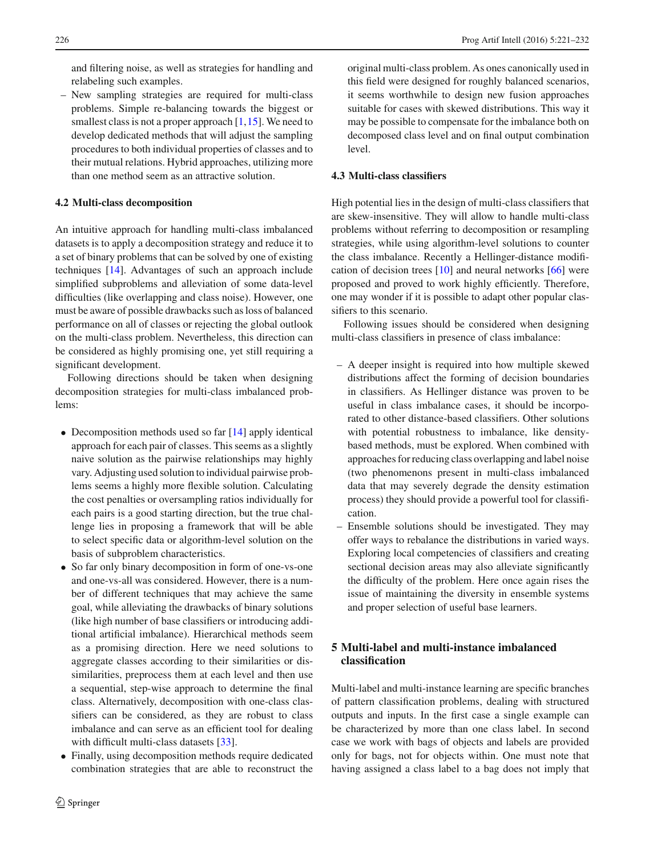and filtering noise, as well as strategies for handling and relabeling such examples.

– New sampling strategies are required for multi-class problems. Simple re-balancing towards the biggest or smallest class is not a proper approach  $[1,15]$  $[1,15]$  $[1,15]$ . We need to develop dedicated methods that will adjust the sampling procedures to both individual properties of classes and to their mutual relations. Hybrid approaches, utilizing more than one method seem as an attractive solution.

# **4.2 Multi-class decomposition**

An intuitive approach for handling multi-class imbalanced datasets is to apply a decomposition strategy and reduce it to a set of binary problems that can be solved by one of existing techniques [\[14\]](#page-10-25). Advantages of such an approach include simplified subproblems and alleviation of some data-level difficulties (like overlapping and class noise). However, one must be aware of possible drawbacks such as loss of balanced performance on all of classes or rejecting the global outlook on the multi-class problem. Nevertheless, this direction can be considered as highly promising one, yet still requiring a significant development.

Following directions should be taken when designing decomposition strategies for multi-class imbalanced problems:

- Decomposition methods used so far [\[14](#page-10-25)] apply identical approach for each pair of classes. This seems as a slightly naive solution as the pairwise relationships may highly vary. Adjusting used solution to individual pairwise problems seems a highly more flexible solution. Calculating the cost penalties or oversampling ratios individually for each pairs is a good starting direction, but the true challenge lies in proposing a framework that will be able to select specific data or algorithm-level solution on the basis of subproblem characteristics.
- So far only binary decomposition in form of one-vs-one and one-vs-all was considered. However, there is a number of different techniques that may achieve the same goal, while alleviating the drawbacks of binary solutions (like high number of base classifiers or introducing additional artificial imbalance). Hierarchical methods seem as a promising direction. Here we need solutions to aggregate classes according to their similarities or dissimilarities, preprocess them at each level and then use a sequential, step-wise approach to determine the final class. Alternatively, decomposition with one-class classifiers can be considered, as they are robust to class imbalance and can serve as an efficient tool for dealing with difficult multi-class datasets [\[33\]](#page-10-8).
- Finally, using decomposition methods require dedicated combination strategies that are able to reconstruct the

original multi-class problem. As ones canonically used in this field were designed for roughly balanced scenarios, it seems worthwhile to design new fusion approaches suitable for cases with skewed distributions. This way it may be possible to compensate for the imbalance both on decomposed class level and on final output combination level.

# **4.3 Multi-class classifiers**

High potential lies in the design of multi-class classifiers that are skew-insensitive. They will allow to handle multi-class problems without referring to decomposition or resampling strategies, while using algorithm-level solutions to counter the class imbalance. Recently a Hellinger-distance modification of decision trees [\[10](#page-10-28)] and neural networks [\[66\]](#page-11-10) were proposed and proved to work highly efficiently. Therefore, one may wonder if it is possible to adapt other popular classifiers to this scenario.

Following issues should be considered when designing multi-class classifiers in presence of class imbalance:

- A deeper insight is required into how multiple skewed distributions affect the forming of decision boundaries in classifiers. As Hellinger distance was proven to be useful in class imbalance cases, it should be incorporated to other distance-based classifiers. Other solutions with potential robustness to imbalance, like densitybased methods, must be explored. When combined with approaches for reducing class overlapping and label noise (two phenomenons present in multi-class imbalanced data that may severely degrade the density estimation process) they should provide a powerful tool for classification.
- Ensemble solutions should be investigated. They may offer ways to rebalance the distributions in varied ways. Exploring local competencies of classifiers and creating sectional decision areas may also alleviate significantly the difficulty of the problem. Here once again rises the issue of maintaining the diversity in ensemble systems and proper selection of useful base learners.

# **5 Multi-label and multi-instance imbalanced classification**

Multi-label and multi-instance learning are specific branches of pattern classification problems, dealing with structured outputs and inputs. In the first case a single example can be characterized by more than one class label. In second case we work with bags of objects and labels are provided only for bags, not for objects within. One must note that having assigned a class label to a bag does not imply that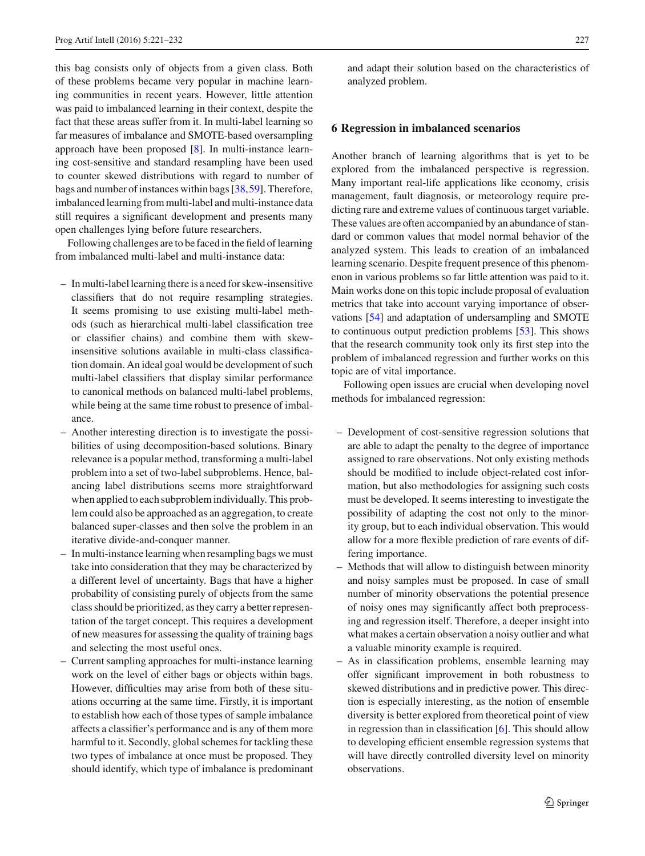this bag consists only of objects from a given class. Both of these problems became very popular in machine learning communities in recent years. However, little attention was paid to imbalanced learning in their context, despite the fact that these areas suffer from it. In multi-label learning so far measures of imbalance and SMOTE-based oversampling approach have been proposed [\[8](#page-9-6)]. In multi-instance learning cost-sensitive and standard resampling have been used to counter skewed distributions with regard to number of bags and number of instances within bags [\[38](#page-10-29)[,59](#page-11-11)]. Therefore, imbalanced learning from multi-label and multi-instance data still requires a significant development and presents many open challenges lying before future researchers.

Following challenges are to be faced in the field of learning from imbalanced multi-label and multi-instance data:

- In multi-label learning there is a need for skew-insensitive classifiers that do not require resampling strategies. It seems promising to use existing multi-label methods (such as hierarchical multi-label classification tree or classifier chains) and combine them with skewinsensitive solutions available in multi-class classification domain. An ideal goal would be development of such multi-label classifiers that display similar performance to canonical methods on balanced multi-label problems, while being at the same time robust to presence of imbalance.
- Another interesting direction is to investigate the possibilities of using decomposition-based solutions. Binary relevance is a popular method, transforming a multi-label problem into a set of two-label subproblems. Hence, balancing label distributions seems more straightforward when applied to each subproblem individually. This problem could also be approached as an aggregation, to create balanced super-classes and then solve the problem in an iterative divide-and-conquer manner.
- In multi-instance learning when resampling bags we must take into consideration that they may be characterized by a different level of uncertainty. Bags that have a higher probability of consisting purely of objects from the same class should be prioritized, as they carry a better representation of the target concept. This requires a development of new measures for assessing the quality of training bags and selecting the most useful ones.
- Current sampling approaches for multi-instance learning work on the level of either bags or objects within bags. However, difficulties may arise from both of these situations occurring at the same time. Firstly, it is important to establish how each of those types of sample imbalance affects a classifier's performance and is any of them more harmful to it. Secondly, global schemes for tackling these two types of imbalance at once must be proposed. They should identify, which type of imbalance is predominant

and adapt their solution based on the characteristics of analyzed problem.

## <span id="page-6-0"></span>**6 Regression in imbalanced scenarios**

Another branch of learning algorithms that is yet to be explored from the imbalanced perspective is regression. Many important real-life applications like economy, crisis management, fault diagnosis, or meteorology require predicting rare and extreme values of continuous target variable. These values are often accompanied by an abundance of standard or common values that model normal behavior of the analyzed system. This leads to creation of an imbalanced learning scenario. Despite frequent presence of this phenomenon in various problems so far little attention was paid to it. Main works done on this topic include proposal of evaluation metrics that take into account varying importance of observations [\[54](#page-11-12)] and adaptation of undersampling and SMOTE to continuous output prediction problems [\[53\]](#page-11-13). This shows that the research community took only its first step into the problem of imbalanced regression and further works on this topic are of vital importance.

Following open issues are crucial when developing novel methods for imbalanced regression:

- Development of cost-sensitive regression solutions that are able to adapt the penalty to the degree of importance assigned to rare observations. Not only existing methods should be modified to include object-related cost information, but also methodologies for assigning such costs must be developed. It seems interesting to investigate the possibility of adapting the cost not only to the minority group, but to each individual observation. This would allow for a more flexible prediction of rare events of differing importance.
- Methods that will allow to distinguish between minority and noisy samples must be proposed. In case of small number of minority observations the potential presence of noisy ones may significantly affect both preprocessing and regression itself. Therefore, a deeper insight into what makes a certain observation a noisy outlier and what a valuable minority example is required.
- As in classification problems, ensemble learning may offer significant improvement in both robustness to skewed distributions and in predictive power. This direction is especially interesting, as the notion of ensemble diversity is better explored from theoretical point of view in regression than in classification [\[6\]](#page-9-7). This should allow to developing efficient ensemble regression systems that will have directly controlled diversity level on minority observations.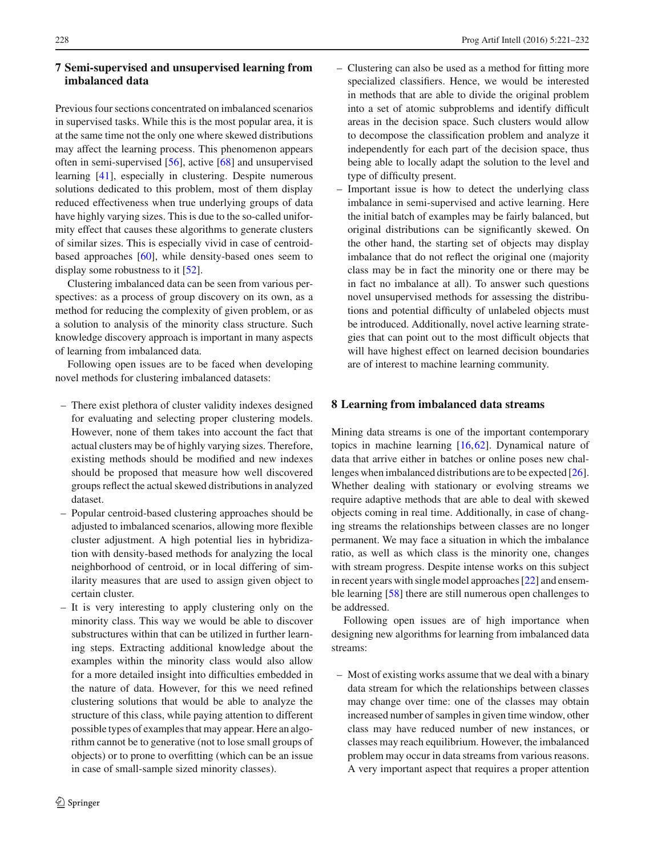# <span id="page-7-0"></span>**7 Semi-supervised and unsupervised learning from imbalanced data**

Previous four sections concentrated on imbalanced scenarios in supervised tasks. While this is the most popular area, it is at the same time not the only one where skewed distributions may affect the learning process. This phenomenon appears often in semi-supervised [\[56](#page-11-14)], active [\[68](#page-11-15)] and unsupervised learning [\[41\]](#page-10-30), especially in clustering. Despite numerous solutions dedicated to this problem, most of them display reduced effectiveness when true underlying groups of data have highly varying sizes. This is due to the so-called uniformity effect that causes these algorithms to generate clusters of similar sizes. This is especially vivid in case of centroidbased approaches [\[60\]](#page-11-16), while density-based ones seem to display some robustness to it [\[52\]](#page-11-17).

Clustering imbalanced data can be seen from various perspectives: as a process of group discovery on its own, as a method for reducing the complexity of given problem, or as a solution to analysis of the minority class structure. Such knowledge discovery approach is important in many aspects of learning from imbalanced data.

Following open issues are to be faced when developing novel methods for clustering imbalanced datasets:

- There exist plethora of cluster validity indexes designed for evaluating and selecting proper clustering models. However, none of them takes into account the fact that actual clusters may be of highly varying sizes. Therefore, existing methods should be modified and new indexes should be proposed that measure how well discovered groups reflect the actual skewed distributions in analyzed dataset.
- Popular centroid-based clustering approaches should be adjusted to imbalanced scenarios, allowing more flexible cluster adjustment. A high potential lies in hybridization with density-based methods for analyzing the local neighborhood of centroid, or in local differing of similarity measures that are used to assign given object to certain cluster.
- It is very interesting to apply clustering only on the minority class. This way we would be able to discover substructures within that can be utilized in further learning steps. Extracting additional knowledge about the examples within the minority class would also allow for a more detailed insight into difficulties embedded in the nature of data. However, for this we need refined clustering solutions that would be able to analyze the structure of this class, while paying attention to different possible types of examples that may appear. Here an algorithm cannot be to generative (not to lose small groups of objects) or to prone to overfitting (which can be an issue in case of small-sample sized minority classes).
- Clustering can also be used as a method for fitting more specialized classifiers. Hence, we would be interested in methods that are able to divide the original problem into a set of atomic subproblems and identify difficult areas in the decision space. Such clusters would allow to decompose the classification problem and analyze it independently for each part of the decision space, thus being able to locally adapt the solution to the level and type of difficulty present.
- Important issue is how to detect the underlying class imbalance in semi-supervised and active learning. Here the initial batch of examples may be fairly balanced, but original distributions can be significantly skewed. On the other hand, the starting set of objects may display imbalance that do not reflect the original one (majority class may be in fact the minority one or there may be in fact no imbalance at all). To answer such questions novel unsupervised methods for assessing the distributions and potential difficulty of unlabeled objects must be introduced. Additionally, novel active learning strategies that can point out to the most difficult objects that will have highest effect on learned decision boundaries are of interest to machine learning community.

# <span id="page-7-1"></span>**8 Learning from imbalanced data streams**

Mining data streams is one of the important contemporary topics in machine learning [\[16](#page-10-31)[,62](#page-11-18)]. Dynamical nature of data that arrive either in batches or online poses new challenges when imbalanced distributions are to be expected [\[26](#page-10-32)]. Whether dealing with stationary or evolving streams we require adaptive methods that are able to deal with skewed objects coming in real time. Additionally, in case of changing streams the relationships between classes are no longer permanent. We may face a situation in which the imbalance ratio, as well as which class is the minority one, changes with stream progress. Despite intense works on this subject in recent years with single model approaches [\[22\]](#page-10-33) and ensemble learning [\[58\]](#page-11-19) there are still numerous open challenges to be addressed.

Following open issues are of high importance when designing new algorithms for learning from imbalanced data streams:

– Most of existing works assume that we deal with a binary data stream for which the relationships between classes may change over time: one of the classes may obtain increased number of samples in given time window, other class may have reduced number of new instances, or classes may reach equilibrium. However, the imbalanced problem may occur in data streams from various reasons. A very important aspect that requires a proper attention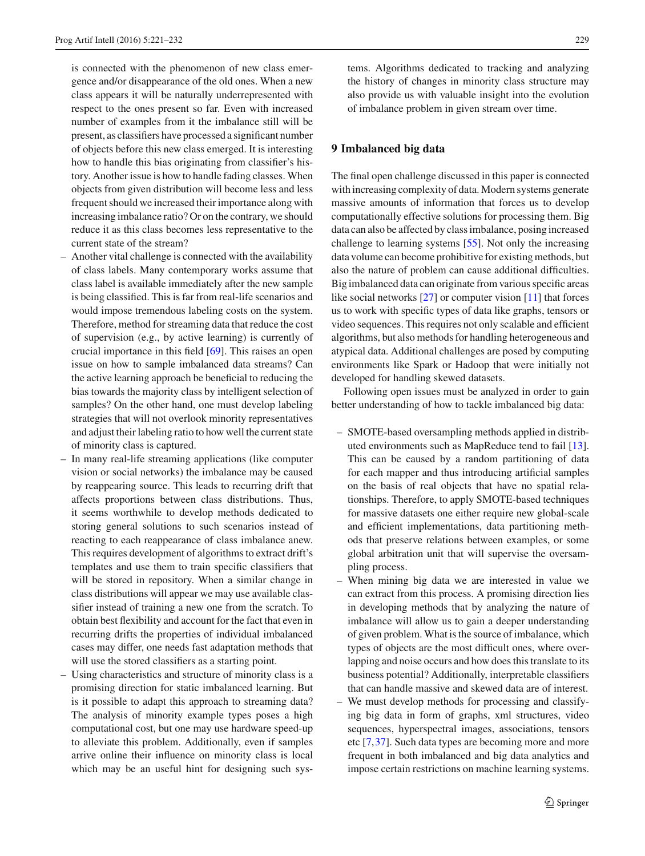is connected with the phenomenon of new class emergence and/or disappearance of the old ones. When a new class appears it will be naturally underrepresented with respect to the ones present so far. Even with increased number of examples from it the imbalance still will be present, as classifiers have processed a significant number of objects before this new class emerged. It is interesting how to handle this bias originating from classifier's history. Another issue is how to handle fading classes. When objects from given distribution will become less and less frequent should we increased their importance along with increasing imbalance ratio? Or on the contrary, we should reduce it as this class becomes less representative to the current state of the stream?

- Another vital challenge is connected with the availability of class labels. Many contemporary works assume that class label is available immediately after the new sample is being classified. This is far from real-life scenarios and would impose tremendous labeling costs on the system. Therefore, method for streaming data that reduce the cost of supervision (e.g., by active learning) is currently of crucial importance in this field [\[69\]](#page-11-20). This raises an open issue on how to sample imbalanced data streams? Can the active learning approach be beneficial to reducing the bias towards the majority class by intelligent selection of samples? On the other hand, one must develop labeling strategies that will not overlook minority representatives and adjust their labeling ratio to how well the current state of minority class is captured.
- In many real-life streaming applications (like computer vision or social networks) the imbalance may be caused by reappearing source. This leads to recurring drift that affects proportions between class distributions. Thus, it seems worthwhile to develop methods dedicated to storing general solutions to such scenarios instead of reacting to each reappearance of class imbalance anew. This requires development of algorithms to extract drift's templates and use them to train specific classifiers that will be stored in repository. When a similar change in class distributions will appear we may use available classifier instead of training a new one from the scratch. To obtain best flexibility and account for the fact that even in recurring drifts the properties of individual imbalanced cases may differ, one needs fast adaptation methods that will use the stored classifiers as a starting point.
- Using characteristics and structure of minority class is a promising direction for static imbalanced learning. But is it possible to adapt this approach to streaming data? The analysis of minority example types poses a high computational cost, but one may use hardware speed-up to alleviate this problem. Additionally, even if samples arrive online their influence on minority class is local which may be an useful hint for designing such sys-

tems. Algorithms dedicated to tracking and analyzing the history of changes in minority class structure may also provide us with valuable insight into the evolution of imbalance problem in given stream over time.

# <span id="page-8-0"></span>**9 Imbalanced big data**

The final open challenge discussed in this paper is connected with increasing complexity of data. Modern systems generate massive amounts of information that forces us to develop computationally effective solutions for processing them. Big data can also be affected by class imbalance, posing increased challenge to learning systems [\[55](#page-11-21)]. Not only the increasing data volume can become prohibitive for existing methods, but also the nature of problem can cause additional difficulties. Big imbalanced data can originate from various specific areas like social networks [\[27\]](#page-10-34) or computer vision [\[11](#page-10-35)] that forces us to work with specific types of data like graphs, tensors or video sequences. This requires not only scalable and efficient algorithms, but also methods for handling heterogeneous and atypical data. Additional challenges are posed by computing environments like Spark or Hadoop that were initially not developed for handling skewed datasets.

Following open issues must be analyzed in order to gain better understanding of how to tackle imbalanced big data:

- SMOTE-based oversampling methods applied in distributed environments such as MapReduce tend to fail [\[13](#page-10-36)]. This can be caused by a random partitioning of data for each mapper and thus introducing artificial samples on the basis of real objects that have no spatial relationships. Therefore, to apply SMOTE-based techniques for massive datasets one either require new global-scale and efficient implementations, data partitioning methods that preserve relations between examples, or some global arbitration unit that will supervise the oversampling process.
- When mining big data we are interested in value we can extract from this process. A promising direction lies in developing methods that by analyzing the nature of imbalance will allow us to gain a deeper understanding of given problem. What is the source of imbalance, which types of objects are the most difficult ones, where overlapping and noise occurs and how does this translate to its business potential? Additionally, interpretable classifiers that can handle massive and skewed data are of interest.
- We must develop methods for processing and classifying big data in form of graphs, xml structures, video sequences, hyperspectral images, associations, tensors etc [\[7](#page-9-8)[,37](#page-10-37)]. Such data types are becoming more and more frequent in both imbalanced and big data analytics and impose certain restrictions on machine learning systems.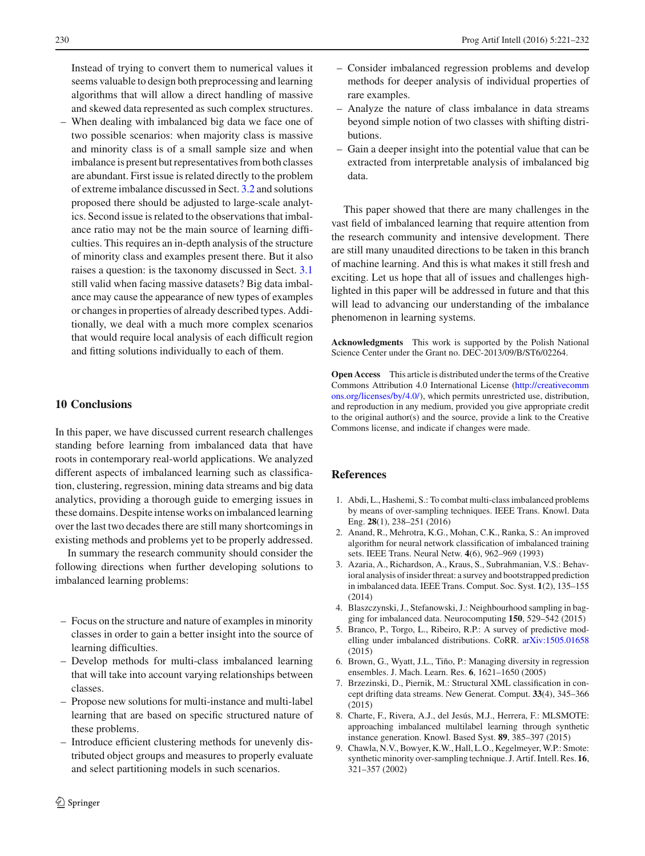Instead of trying to convert them to numerical values it seems valuable to design both preprocessing and learning algorithms that will allow a direct handling of massive and skewed data represented as such complex structures.

– When dealing with imbalanced big data we face one of two possible scenarios: when majority class is massive and minority class is of a small sample size and when imbalance is present but representatives from both classes are abundant. First issue is related directly to the problem of extreme imbalance discussed in Sect. [3.2](#page-3-0) and solutions proposed there should be adjusted to large-scale analytics. Second issue is related to the observations that imbalance ratio may not be the main source of learning difficulties. This requires an in-depth analysis of the structure of minority class and examples present there. But it also raises a question: is the taxonomy discussed in Sect. [3.1](#page-2-2) still valid when facing massive datasets? Big data imbalance may cause the appearance of new types of examples or changes in properties of already described types. Additionally, we deal with a much more complex scenarios that would require local analysis of each difficult region and fitting solutions individually to each of them.

#### **10 Conclusions**

In this paper, we have discussed current research challenges standing before learning from imbalanced data that have roots in contemporary real-world applications. We analyzed different aspects of imbalanced learning such as classification, clustering, regression, mining data streams and big data analytics, providing a thorough guide to emerging issues in these domains. Despite intense works on imbalanced learning over the last two decades there are still many shortcomings in existing methods and problems yet to be properly addressed.

In summary the research community should consider the following directions when further developing solutions to imbalanced learning problems:

- Focus on the structure and nature of examples in minority classes in order to gain a better insight into the source of learning difficulties.
- Develop methods for multi-class imbalanced learning that will take into account varying relationships between classes.
- Propose new solutions for multi-instance and multi-label learning that are based on specific structured nature of these problems.
- Introduce efficient clustering methods for unevenly distributed object groups and measures to properly evaluate and select partitioning models in such scenarios.
- Consider imbalanced regression problems and develop methods for deeper analysis of individual properties of rare examples.
- Analyze the nature of class imbalance in data streams beyond simple notion of two classes with shifting distributions.
- Gain a deeper insight into the potential value that can be extracted from interpretable analysis of imbalanced big data.

This paper showed that there are many challenges in the vast field of imbalanced learning that require attention from the research community and intensive development. There are still many unaudited directions to be taken in this branch of machine learning. And this is what makes it still fresh and exciting. Let us hope that all of issues and challenges highlighted in this paper will be addressed in future and that this will lead to advancing our understanding of the imbalance phenomenon in learning systems.

**Acknowledgments** This work is supported by the Polish National Science Center under the Grant no. DEC-2013/09/B/ST6/02264.

**Open Access** This article is distributed under the terms of the Creative Commons Attribution 4.0 International License [\(http://creativecomm](http://creativecommons.org/licenses/by/4.0/) [ons.org/licenses/by/4.0/\)](http://creativecommons.org/licenses/by/4.0/), which permits unrestricted use, distribution, and reproduction in any medium, provided you give appropriate credit to the original author(s) and the source, provide a link to the Creative Commons license, and indicate if changes were made.

## <span id="page-9-5"></span>**References**

- 1. Abdi, L., Hashemi, S.: To combat multi-class imbalanced problems by means of over-sampling techniques. IEEE Trans. Knowl. Data Eng. **28**(1), 238–251 (2016)
- <span id="page-9-0"></span>2. Anand, R., Mehrotra, K.G., Mohan, C.K., Ranka, S.: An improved algorithm for neural network classification of imbalanced training sets. IEEE Trans. Neural Netw. **4**(6), 962–969 (1993)
- <span id="page-9-3"></span>3. Azaria, A., Richardson, A., Kraus, S., Subrahmanian, V.S.: Behavioral analysis of insider threat: a survey and bootstrapped prediction in imbalanced data. IEEE Trans. Comput. Soc. Syst. **1**(2), 135–155 (2014)
- <span id="page-9-4"></span>4. Blaszczynski, J., Stefanowski, J.: Neighbourhood sampling in bagging for imbalanced data. Neurocomputing **150**, 529–542 (2015)
- <span id="page-9-1"></span>5. Branco, P., Torgo, L., Ribeiro, R.P.: A survey of predictive modelling under imbalanced distributions. CoRR. [arXiv:1505.01658](http://arxiv.org/abs/1505.01658) (2015)
- <span id="page-9-7"></span>6. Brown, G., Wyatt, J.L., Tiño, P.: Managing diversity in regression ensembles. J. Mach. Learn. Res. **6**, 1621–1650 (2005)
- <span id="page-9-8"></span>7. Brzezinski, D., Piernik, M.: Structural XML classification in concept drifting data streams. New Generat. Comput. **33**(4), 345–366 (2015)
- <span id="page-9-6"></span>8. Charte, F., Rivera, A.J., del Jesús, M.J., Herrera, F.: MLSMOTE: approaching imbalanced multilabel learning through synthetic instance generation. Knowl. Based Syst. **89**, 385–397 (2015)
- <span id="page-9-2"></span>9. Chawla, N.V., Bowyer, K.W., Hall, L.O., Kegelmeyer, W.P.: Smote: synthetic minority over-sampling technique. J. Artif. Intell. Res. **16**, 321–357 (2002)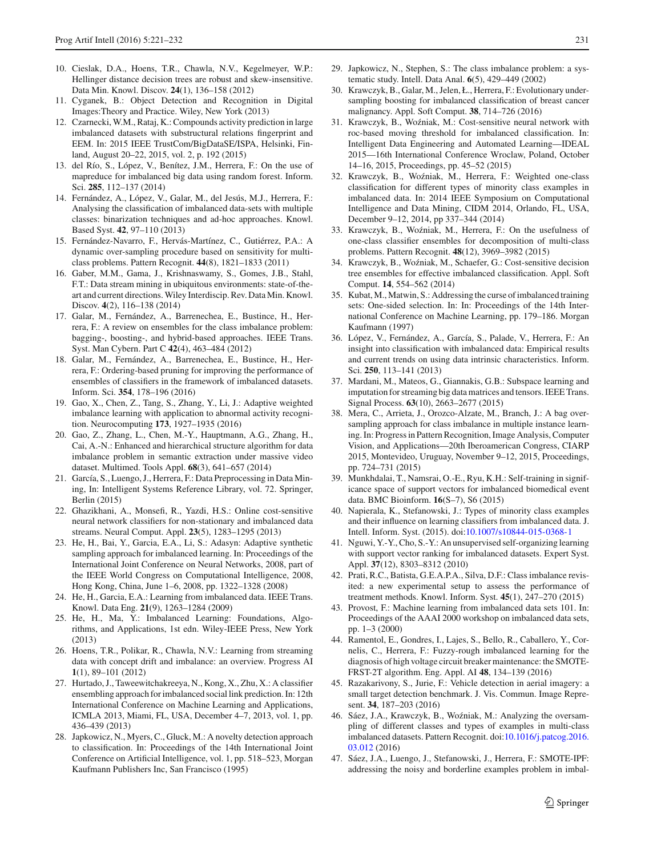- <span id="page-10-35"></span><span id="page-10-28"></span>11. Cyganek, B.: Object Detection and Recognition in Digital Images:Theory and Practice. Wiley, New York (2013)
- <span id="page-10-21"></span>12. Czarnecki, W.M., Rataj, K.: Compounds activity prediction in large imbalanced datasets with substructural relations fingerprint and EEM. In: 2015 IEEE TrustCom/BigDataSE/ISPA, Helsinki, Finland, August 20–22, 2015, vol. 2, p. 192 (2015)
- <span id="page-10-36"></span>13. del Río, S., López, V., Benítez, J.M., Herrera, F.: On the use of mapreduce for imbalanced big data using random forest. Inform. Sci. **285**, 112–137 (2014)
- <span id="page-10-25"></span>14. Fernández, A., López, V., Galar, M., del Jesús, M.J., Herrera, F.: Analysing the classification of imbalanced data-sets with multiple classes: binarization techniques and ad-hoc approaches. Knowl. Based Syst. **42**, 97–110 (2013)
- <span id="page-10-27"></span>15. Fernández-Navarro, F., Hervás-Martínez, C., Gutiérrez, P.A.: A dynamic over-sampling procedure based on sensitivity for multiclass problems. Pattern Recognit. **44**(8), 1821–1833 (2011)
- <span id="page-10-31"></span>16. Gaber, M.M., Gama, J., Krishnaswamy, S., Gomes, J.B., Stahl, F.T.: Data stream mining in ubiquitous environments: state-of-theart and current directions.Wiley Interdiscip. Rev. DataMin. Knowl. Discov. **4**(2), 116–138 (2014)
- <span id="page-10-4"></span>17. Galar, M., Fernández, A., Barrenechea, E., Bustince, H., Herrera, F.: A review on ensembles for the class imbalance problem: bagging-, boosting-, and hybrid-based approaches. IEEE Trans. Syst. Man Cybern. Part C **42**(4), 463–484 (2012)
- <span id="page-10-24"></span>18. Galar, M., Fernández, A., Barrenechea, E., Bustince, H., Herrera, F.: Ordering-based pruning for improving the performance of ensembles of classifiers in the framework of imbalanced datasets. Inform. Sci. **354**, 178–196 (2016)
- <span id="page-10-10"></span>19. Gao, X., Chen, Z., Tang, S., Zhang, Y., Li, J.: Adaptive weighted imbalance learning with application to abnormal activity recognition. Neurocomputing **173**, 1927–1935 (2016)
- <span id="page-10-15"></span>20. Gao, Z., Zhang, L., Chen, M.-Y., Hauptmann, A.G., Zhang, H., Cai, A.-N.: Enhanced and hierarchical structure algorithm for data imbalance problem in semantic extraction under massive video dataset. Multimed. Tools Appl. **68**(3), 641–657 (2014)
- <span id="page-10-3"></span>21. García, S., Luengo, J., Herrera, F.: Data Preprocessing in Data Mining, In: Intelligent Systems Reference Library, vol. 72. Springer, Berlin (2015)
- <span id="page-10-33"></span>22. Ghazikhani, A., Monsefi, R., Yazdi, H.S.: Online cost-sensitive neural network classifiers for non-stationary and imbalanced data streams. Neural Comput. Appl. **23**(5), 1283–1295 (2013)
- <span id="page-10-19"></span>23. He, H., Bai, Y., Garcia, E.A., Li, S.: Adasyn: Adaptive synthetic sampling approach for imbalanced learning. In: Proceedings of the International Joint Conference on Neural Networks, 2008, part of the IEEE World Congress on Computational Intelligence, 2008, Hong Kong, China, June 1–6, 2008, pp. 1322–1328 (2008)
- <span id="page-10-1"></span>24. He, H., Garcia, E.A.: Learning from imbalanced data. IEEE Trans. Knowl. Data Eng. **21**(9), 1263–1284 (2009)
- <span id="page-10-2"></span>25. He, H., Ma, Y.: Imbalanced Learning: Foundations, Algorithms, and Applications, 1st edn. Wiley-IEEE Press, New York (2013)
- <span id="page-10-32"></span>26. Hoens, T.R., Polikar, R., Chawla, N.V.: Learning from streaming data with concept drift and imbalance: an overview. Progress AI **1**(1), 89–101 (2012)
- <span id="page-10-34"></span>27. Hurtado, J., Taweewitchakreeya, N., Kong, X., Zhu, X.: A classifier ensembling approach for imbalanced social link prediction. In: 12th International Conference on Machine Learning and Applications, ICMLA 2013, Miami, FL, USA, December 4–7, 2013, vol. 1, pp. 436–439 (2013)
- <span id="page-10-7"></span>28. Japkowicz, N., Myers, C., Gluck, M.: A novelty detection approach to classification. In: Proceedings of the 14th International Joint Conference on Artificial Intelligence, vol. 1, pp. 518–523, Morgan Kaufmann Publishers Inc, San Francisco (1995)
- <span id="page-10-0"></span>29. Japkowicz, N., Stephen, S.: The class imbalance problem: a systematic study. Intell. Data Anal. **6**(5), 429–449 (2002)
- <span id="page-10-11"></span>30. Krawczyk, B., Galar, M., Jelen, Ł., Herrera, F.: Evolutionary undersampling boosting for imbalanced classification of breast cancer malignancy. Appl. Soft Comput. **38**, 714–726 (2016)
- <span id="page-10-23"></span>31. Krawczyk, B., Woźniak, M.: Cost-sensitive neural network with roc-based moving threshold for imbalanced classification. In: Intelligent Data Engineering and Automated Learning—IDEAL 2015—16th International Conference Wroclaw, Poland, October 14–16, 2015, Proceedings, pp. 45–52 (2015)
- <span id="page-10-18"></span>32. Krawczyk, B., Woźniak, M., Herrera, F.: Weighted one-class classification for different types of minority class examples in imbalanced data. In: 2014 IEEE Symposium on Computational Intelligence and Data Mining, CIDM 2014, Orlando, FL, USA, December 9–12, 2014, pp 337–344 (2014)
- <span id="page-10-8"></span>33. Krawczyk, B., Woźniak, M., Herrera, F.: On the usefulness of one-class classifier ensembles for decomposition of multi-class problems. Pattern Recognit. **48**(12), 3969–3982 (2015)
- <span id="page-10-9"></span>34. Krawczyk, B., Woźniak, M., Schaefer, G.: Cost-sensitive decision tree ensembles for effective imbalanced classification. Appl. Soft Comput. **14**, 554–562 (2014)
- <span id="page-10-16"></span>35. Kubat, M., Matwin, S.: Addressing the curse of imbalanced training sets: One-sided selection. In: In: Proceedings of the 14th International Conference on Machine Learning, pp. 179–186. Morgan Kaufmann (1997)
- <span id="page-10-5"></span>36. López, V., Fernández, A., García, S., Palade, V., Herrera, F.: An insight into classification with imbalanced data: Empirical results and current trends on using data intrinsic characteristics. Inform. Sci. **250**, 113–141 (2013)
- <span id="page-10-37"></span>37. Mardani, M., Mateos, G., Giannakis, G.B.: Subspace learning and imputation for streaming big data matrices and tensors. IEEE Trans. Signal Process. **63**(10), 2663–2677 (2015)
- <span id="page-10-29"></span>38. Mera, C., Arrieta, J., Orozco-Alzate, M., Branch, J.: A bag oversampling approach for class imbalance in multiple instance learning. In: Progress in Pattern Recognition, Image Analysis, Computer Vision, and Applications—20th Iberoamerican Congress, CIARP 2015, Montevideo, Uruguay, November 9–12, 2015, Proceedings, pp. 724–731 (2015)
- <span id="page-10-14"></span>39. Munkhdalai, T., Namsrai, O.-E., Ryu, K.H.: Self-training in significance space of support vectors for imbalanced biomedical event data. BMC Bioinform. **16**(S–7), S6 (2015)
- <span id="page-10-17"></span>40. Napierala, K., Stefanowski, J.: Types of minority class examples and their influence on learning classifiers from imbalanced data. J. Intell. Inform. Syst. (2015). doi[:10.1007/s10844-015-0368-1](http://dx.doi.org/10.1007/s10844-015-0368-1)
- <span id="page-10-30"></span>41. Nguwi, Y.-Y., Cho, S.-Y.: An unsupervised self-organizing learning with support vector ranking for imbalanced datasets. Expert Syst. Appl. **37**(12), 8303–8312 (2010)
- <span id="page-10-6"></span>42. Prati, R.C., Batista, G.E.A.P.A., Silva, D.F.: Class imbalance revisited: a new experimental setup to assess the performance of treatment methods. Knowl. Inform. Syst. **45**(1), 247–270 (2015)
- <span id="page-10-22"></span>43. Provost, F.: Machine learning from imbalanced data sets 101. In: Proceedings of the AAAI 2000 workshop on imbalanced data sets, pp. 1–3 (2000)
- <span id="page-10-12"></span>44. Ramentol, E., Gondres, I., Lajes, S., Bello, R., Caballero, Y., Cornelis, C., Herrera, F.: Fuzzy-rough imbalanced learning for the diagnosis of high voltage circuit breaker maintenance: the SMOTE-FRST-2T algorithm. Eng. Appl. AI **48**, 134–139 (2016)
- <span id="page-10-13"></span>45. Razakarivony, S., Jurie, F.: Vehicle detection in aerial imagery: a small target detection benchmark. J. Vis. Commun. Image Represent. **34**, 187–203 (2016)
- <span id="page-10-26"></span>46. Sáez, J.A., Krawczyk, B., Woźniak, M.: Analyzing the oversampling of different classes and types of examples in multi-class imbalanced datasets. Pattern Recognit. doi[:10.1016/j.patcog.2016.](http://dx.doi.org/10.1016/j.patcog.2016.03.012) [03.012](http://dx.doi.org/10.1016/j.patcog.2016.03.012) (2016)
- <span id="page-10-20"></span>47. Sáez, J.A., Luengo, J., Stefanowski, J., Herrera, F.: SMOTE-IPF: addressing the noisy and borderline examples problem in imbal-